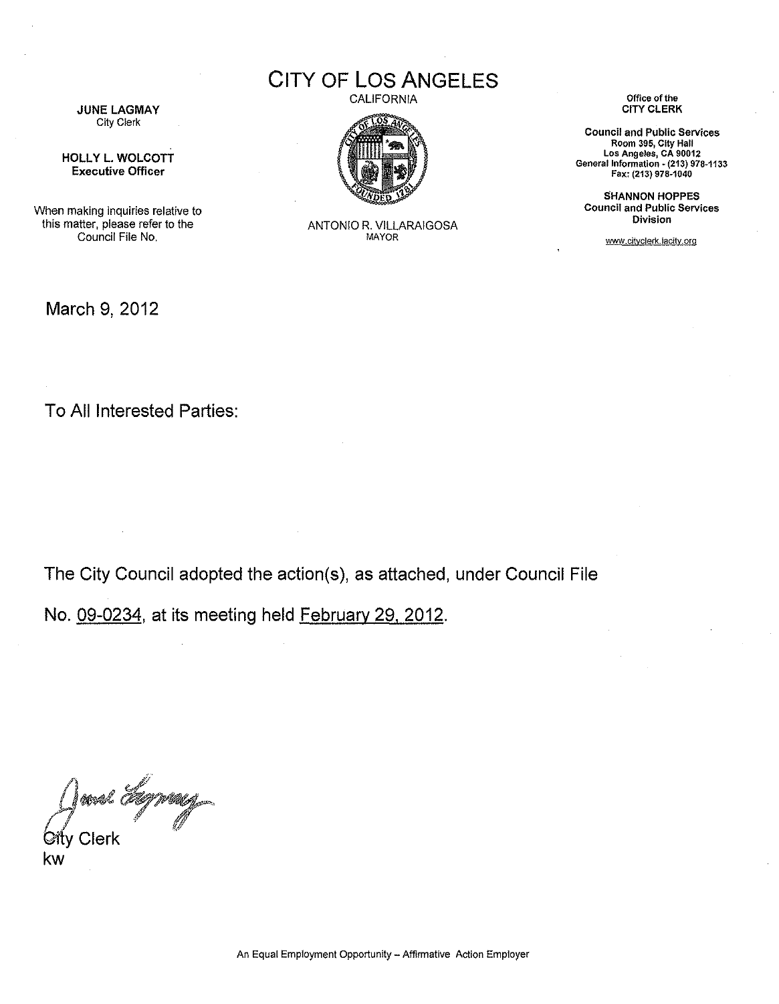

HOLLY L. WOLCOTT Executive Officer

When making inquiries relative to this matter, please refer to the Council File No,

March 9, 2012

CITY OF LOS ANGELES



ANTONIO R. VILLARAIGOSA

CALIFORNIA **Office of the**

**Council and Public Services Room 395, City Hall Los Angeles, CA 90012** General Information ~**(213) 978-1133** Fax: (213) 978·1040

SHANNON HOPPES **Council and Public Services Division**

www.cityclerk.lacity.org

To All Interested Parties:

The City Council adopted the action(s), as attached, under Council File

No. 09-0234, at its meeting held February 29, 2012.

*A*<br> *City* Clerk<br> *City* Clerk  $\mathsf{\acute{C}fv}$  Clerk  $\mathscr{C}$ 

kw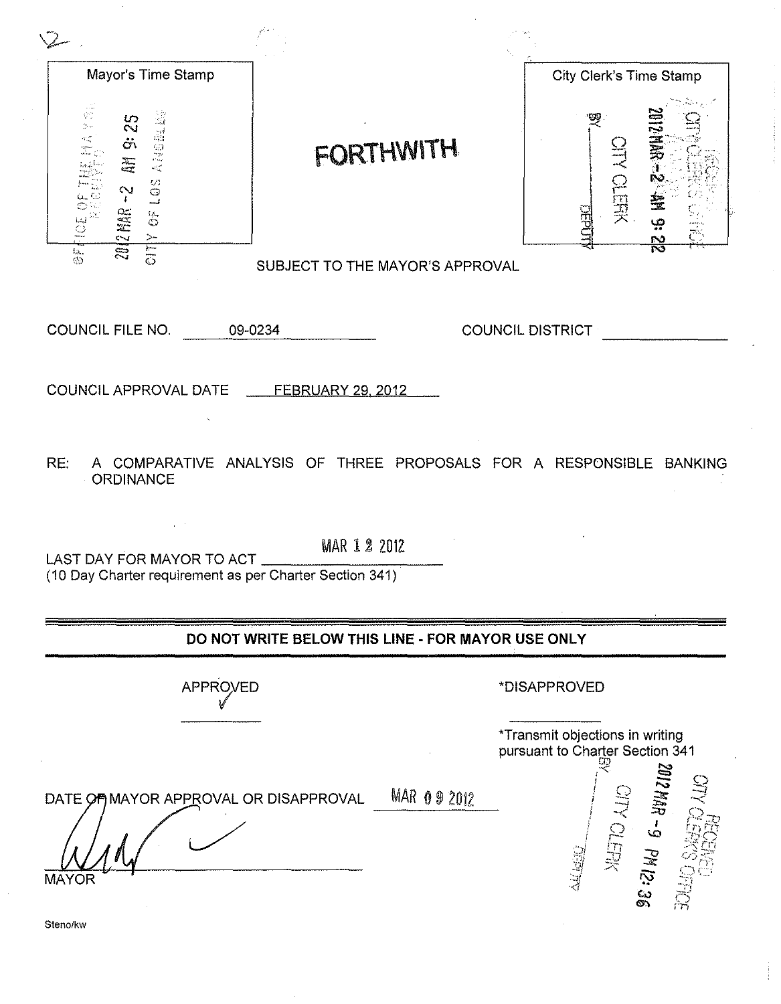| Mayor's Time Stamp                                                                                                                                                                                            |                                 | City Clerk's Time Stamp                                                            |
|---------------------------------------------------------------------------------------------------------------------------------------------------------------------------------------------------------------|---------------------------------|------------------------------------------------------------------------------------|
| 新70.75%<br>Article 14<br>35<br>$\ddot{\sigma}$<br>解<br>$\begin{array}{c} 20 \\ 20 \end{array}$<br>$\sim$<br>$\mathbf{f}$<br><b>2012 MAR</b><br>$\frac{1}{\mathbb{C}}$<br>S                                    | <b>FORTHWITH</b>                | 三、为一、<br>NHEID NH<br>Ņ<br>212.52                                                   |
| CITY<br>C<br>Ы.<br>¢э                                                                                                                                                                                         | SUBJECT TO THE MAYOR'S APPROVAL |                                                                                    |
| COUNCIL FILE NO.                                                                                                                                                                                              | 09-0234                         | COUNCIL DISTRICT                                                                   |
| COUNCIL APPROVAL DATE FEBRUARY 29, 2012                                                                                                                                                                       |                                 |                                                                                    |
| RE:<br>A COMPARATIVE ANALYSIS OF THREE PROPOSALS FOR A RESPONSIBLE BANKING<br><b>ORDINANCE</b><br><b>MAR 1 2 2012</b><br>LAST DAY FOR MAYOR TO ACT<br>(10 Day Charter requirement as per Charter Section 341) |                                 |                                                                                    |
| DO NOT WRITE BELOW THIS LINE - FOR MAYOR USE ONLY                                                                                                                                                             |                                 |                                                                                    |
| <b>APPROVED</b>                                                                                                                                                                                               |                                 | *DISAPPROVED<br>*Transmit objections in writing<br>pursuant to Charter Section 341 |
| DATE OF MAYOR APPROVAL OR DISAPPROVAL<br><b>MAYOR</b><br>Steno/kw                                                                                                                                             | <b>MAR 092012</b>               | <b>38:21 Wd 6-UWAZIOZ</b><br><b>CITY OUER</b><br>当当时<br>成长                         |

 $\alpha$  , and  $\alpha$  is a subsequently in the  $\alpha$ 

 $\epsilon_{\rm{eff}}$ 

 $\mathcal{L}^{(1)}$ 

 $\frac{1}{2}$ 

 $\mathcal{S}^{\mathcal{S}}$ 

 $\hat{\boldsymbol{\beta}}$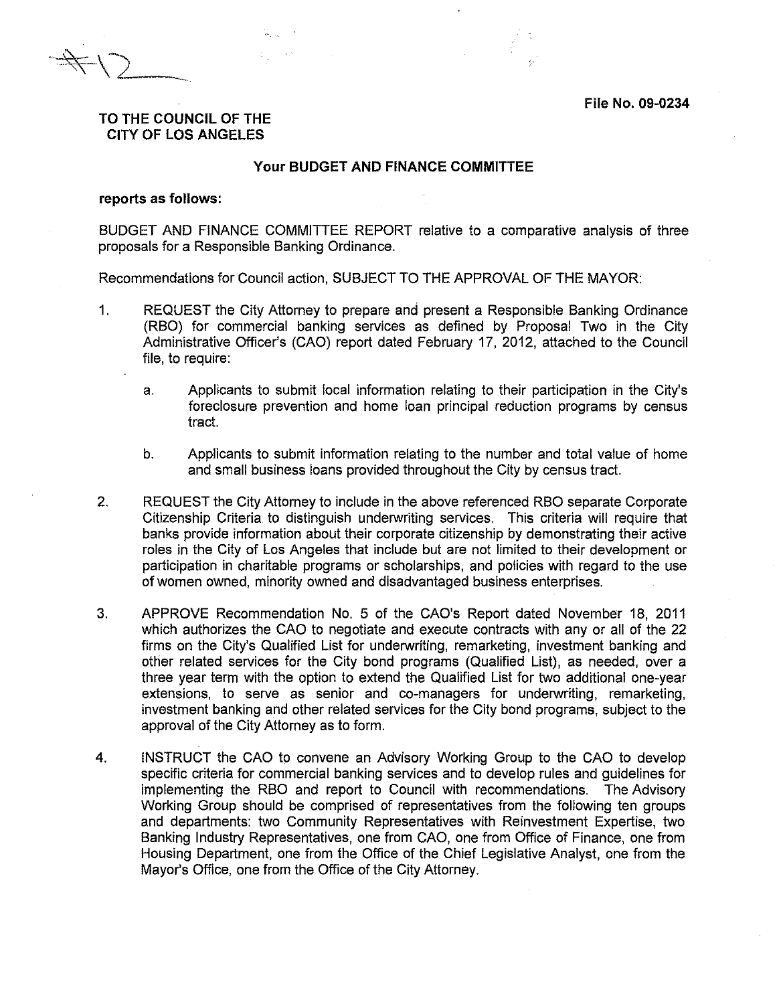File No. 09-0234

# TO THE COUNCIL OF THE

#### CITY OF LOS ANGELES

#### Your BUDGET AND FINANCE COMMITTEE

#### reports as follows:

BUDGET AND FINANCE COMMITTEE REPORT relative to a comparative analysis of three proposals for a Responsible Banking Ordinance.

Recommendations for Council action, SUBJECT TO THE APPROVAL OF THE MAYOR:

- 1. REQUEST the City Attorney to prepare and present a Responsible Banking Ordinance (RBO) for commercial banking services as defined by Proposal Two in the City Administrative Officer's (CAO) report dated February 17, 2012, attached to the Council file, to require:
	- a. Applicants to submit local information relating to their participation in the City's foreclosure prevention and home loan principal reduction programs by census tract.
	- b. Applicants to submit information relating to the number and total value of home and small business loans provided throughout the City by census tract.
- 2. REQUEST the City Attorney to include in the above referenced RBO separate Corporate Citizenship Criteria.to distinguish underwriting services. This criteria will require that banks provide information about their corporate citizenship by demonstrating their active roles in the City of Los Angeles that include but are not limited to their development or participation in charitable programs or scholarships, and policies with regard to the use of women owned, minority owned and disadvantaged business enterprises.
- 3. APPROVE Recommendation No. 5 of the CAO's Report dated November 18, 2011 which authorizes the CAO to negotiate and execute contracts with any or all of the 22 firms on the City's Qualified List for underwriting, remarketing, investment banking and other related services for the City bond programs (Qualified List), as needed, over a three year term with the option to extend the Qualified List for two additional one-year extensions, to serve as senior and co-managers for underwriting, remarketing, investment banking and other related services for the City bond programs, subject to the approval of the City Attorney as to form.
- 4. INSTRUCT the CAO to convene an Advisory Working Group to the CAO to develop specific criteria for commercial banking services and to develop rules and guidelines for implementing the RBO and report to Council with recommendations. The Advisory Working Group should be comprised of representatives from the following ten groups and departments: two Community Representatives with Reinvestment Expertise, two Banking Industry Representatives, one from CAO, one from Office of Finance, one from Housing Department, one from the Office of the Chief Legislative Analyst, one from the Mayor's Office, one from the Office of the City Attorney.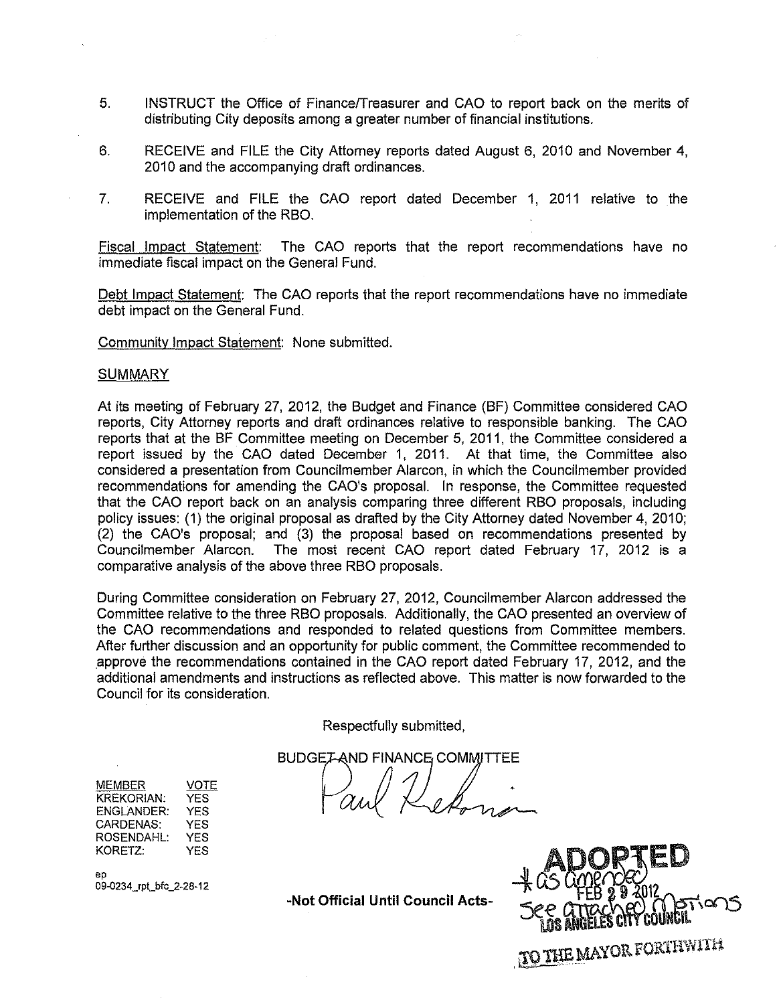- 5. INSTRUCT the Office of FinancefTreasurer and CAD to report back on the merits of distributing City deposits among a greater number of financial institutions.
- 6. RECEIVE and FILE the City Attorney reports dated August 6, 2010 and November 4, 2010 and the accompanying draft ordinances.
- 7. RECEIVE and FILE the CAD report dated December 1, 2011 relative to the implementation of the RBO.

Fiscal Impact Statement: The CAD reports that the report recommendations have no immediate fiscal impact on the General Fund.

Debt Impact Statement: The CAD reports that the report recommendations have no immediate debt impact on the General Fund.

Community Impact Statement: None submitted.

#### SUMMARY

At its meeting of February 27, 2012, the Budget and Finance (BF) Committee considered CAD reports, City Attorney reports and draft ordinances relative to responsible banking. The CAD reports that at the BF Committee meeting on December 5, 2011, the Committee considered a report issued by the CAD dated December 1, 2011. At that time, the Committee also considered a presentation from Councilmember Alarcon, in which the Councilmember provided recommendations for amending the CAD's proposal. In response, the Committee requested that the CAD report back on an analysis comparing three different RBO proposals, including policy issues: (1) the original proposal as drafted by the City Attorney dated November 4,2010; (2) the CAD's proposal; and (3) the proposal based on recommendations presented by Councilmember Alarcon. The most recent CAD report dated February 17, 2012 is a comparative analysis of the above three RBO proposals.

During Committee consideration on February 27, 2012, Councilmember Alarcon addressed the Committee relative to the three RBO proposals. Additionally, the CAD presented an overview of the CAD recommendations and responded to related questions from Committee members. After further discussion and an opportunity for public comment, the Committee recommended to approve the recommendations contained in the CAD report dated February 17, 2012, and the additional amendments and instructions as reflected above. This matter is now forwarded to the Council for its consideration.

Respectfully submitted,

**BUDGET-AND FINANCE COMMITTEE** 

MEMBER KREKORIAN: ENGLANDER: CARDENAS: ROSENDAHL: KORETZ: VOTE YES YES YES YES YES

ep 09-0234\_rpt\_bfc\_2-28-12

-Not **Official Until Council** Acts-



TO THE MAYOR FORTHWITH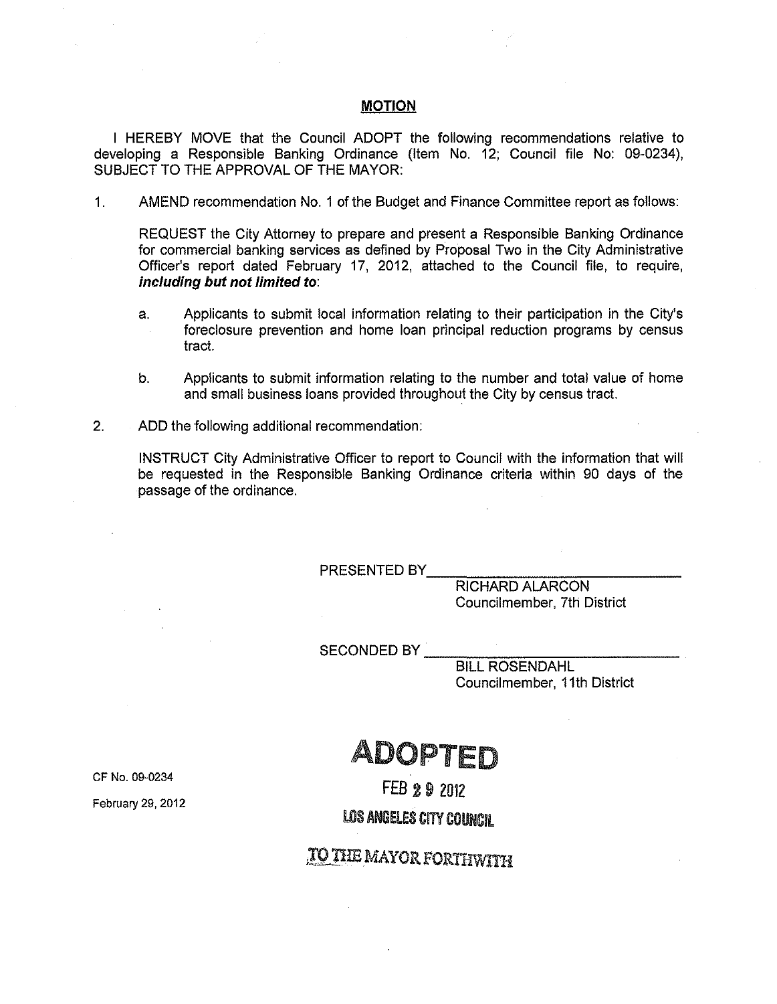#### **MOTION**

I HEREBY MOVE that the Council ADOPT the following recommendations relative to developing a Responsible Banking Ordinance (Item No. 12; Council file No: 09-0234), SUBJECT TO THE APPROVAL OF THE MAYOR:

1. AMEND recommendation No.1 of the Budget and Finance Committee report as follows:

REQUEST the City Attorney to prepare and present a Responsible Banking Ordinance for commercial banking services as defined by Proposal Two in the City Administrative Officer's report dated February 17, 2012, attached to the Council file, to require, *including but not limited to:*

- a. Applicants to submit local information relating to their participation in the City's foreclosure prevention and home loan principal reduction programs by census tract.
- b. Applicants to submit information relating to the number and total value of home and small business loans provided throughout the City by census tract.
- 2. ADD the following additional recommendation:

INSTRUCT City Administrative Officer to report to Council with the information that will be requested in the Responsible Banking Ordinance criteria within 90 days of the passage of the ordinance.

PRESENTED BY

RICHARD ALARCON Councilmember, 7th District

SECONDED BY

BILL ROSENDAHL Councilmember, 11th District

## ADOPTED

CF No. 09-0234

February 29, 2012

FEB 29 2012

LOS ANGELES CITY COUNCIL

### **, TO THE MAYOR FORTHWITH**